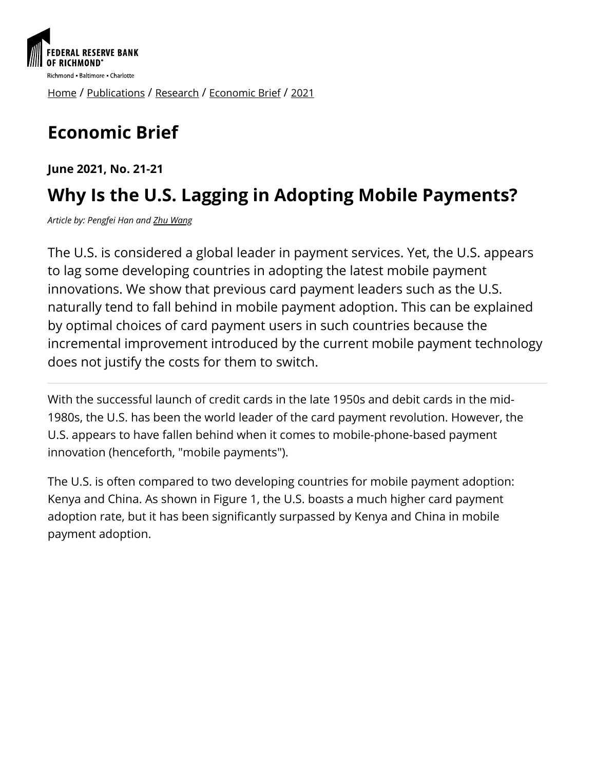

[Home](https://www.richmondfed.org/) / [Publications](https://www.richmondfed.org/publications) / [Research](https://www.richmondfed.org/publications/research) / [Economic Brief](https://www.richmondfed.org/publications/research/economic_brief) / [2021](https://www.richmondfed.org/publications/research/economic_brief/2021)

# **Economic Brief**

**June 2021, No. 21-21**

## **Why Is the U.S. Lagging in Adopting Mobile Payments?**

*Article by: Pengfei Han and [Zhu Wang](https://www.richmondfed.org/research/people/wang)*

The U.S. is considered a global leader in payment services. Yet, the U.S. appears to lag some developing countries in adopting the latest mobile payment innovations. We show that previous card payment leaders such as the U.S. naturally tend to fall behind in mobile payment adoption. This can be explained by optimal choices of card payment users in such countries because the incremental improvement introduced by the current mobile payment technology does not justify the costs for them to switch.

With the successful launch of credit cards in the late 1950s and debit cards in the mid-1980s, the U.S. has been the world leader of the card payment revolution. However, the U.S. appears to have fallen behind when it comes to mobile-phone-based payment innovation (henceforth, "mobile payments").

The U.S. is often compared to two developing countries for mobile payment adoption: Kenya and China. As shown in Figure 1, the U.S. boasts a much higher card payment adoption rate, but it has been significantly surpassed by Kenya and China in mobile payment adoption.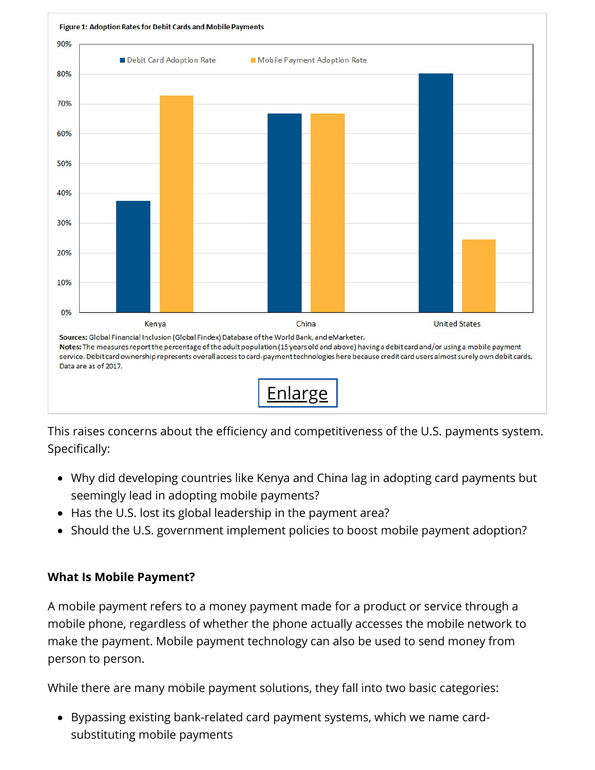

This raises concerns about the efficiency and competitiveness of the U.S. payments system. Specifically:

- Why did developing countries like Kenya and China lag in adopting card payments but seemingly lead in adopting mobile payments?
- Has the U.S. lost its global leadership in the payment area?
- Should the U.S. government implement policies to boost mobile payment adoption?

#### **What Is Mobile Payment?**

A mobile payment refers to a money payment made for a product or service through a mobile phone, regardless of whether the phone actually accesses the mobile network to make the payment. Mobile payment technology can also be used to send money from person to person.

While there are many mobile payment solutions, they fall into two basic categories:

Bypassing existing bank-related card payment systems, which we name cardsubstituting mobile payments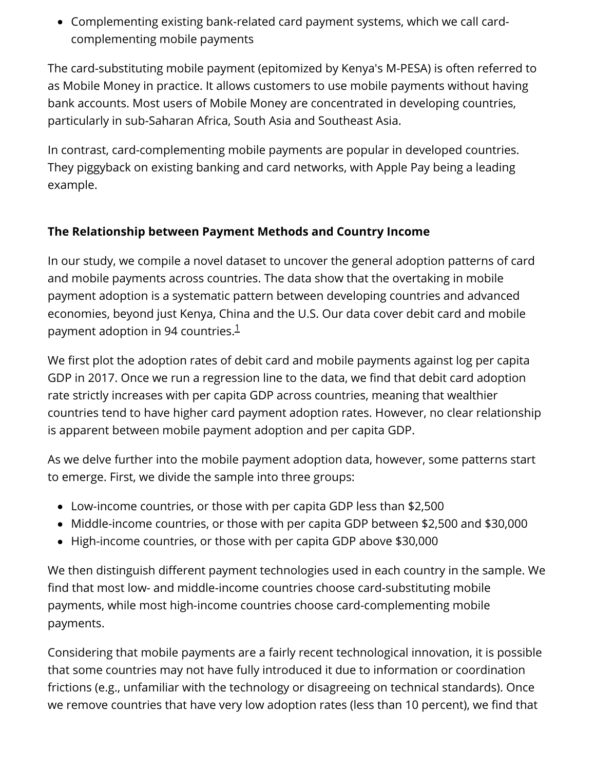Complementing existing bank-related card payment systems, which we call cardcomplementing mobile payments

The card-substituting mobile payment (epitomized by Kenya's M-PESA) is often referred to as Mobile Money in practice. It allows customers to use mobile payments without having bank accounts. Most users of Mobile Money are concentrated in developing countries, particularly in sub-Saharan Africa, South Asia and Southeast Asia.

In contrast, card-complementing mobile payments are popular in developed countries. They piggyback on existing banking and card networks, with Apple Pay being a leading example.

#### **The Relationship between Payment Methods and Country Income**

In our study, we compile a novel dataset to uncover the general adoption patterns of card and mobile payments across countries. The data show that the overtaking in mobile payment adoption is a systematic pattern between developing countries and advanced economies, beyond just Kenya, China and the U.S. Our data cover debit card and mobile payment adoption in 94 countries. [1](#page-4-0)

We first plot the adoption rates of debit card and mobile payments against log per capita GDP in 2017. Once we run a regression line to the data, we find that debit card adoption rate strictly increases with per capita GDP across countries, meaning that wealthier countries tend to have higher card payment adoption rates. However, no clear relationship is apparent between mobile payment adoption and per capita GDP.

As we delve further into the mobile payment adoption data, however, some patterns start to emerge. First, we divide the sample into three groups:

- Low-income countries, or those with per capita GDP less than \$2,500
- Middle-income countries, or those with per capita GDP between \$2,500 and \$30,000
- High-income countries, or those with per capita GDP above \$30,000

We then distinguish different payment technologies used in each country in the sample. We find that most low- and middle-income countries choose card-substituting mobile payments, while most high-income countries choose card-complementing mobile payments.

Considering that mobile payments are a fairly recent technological innovation, it is possible that some countries may not have fully introduced it due to information or coordination frictions (e.g., unfamiliar with the technology or disagreeing on technical standards). Once we remove countries that have very low adoption rates (less than 10 percent), we find that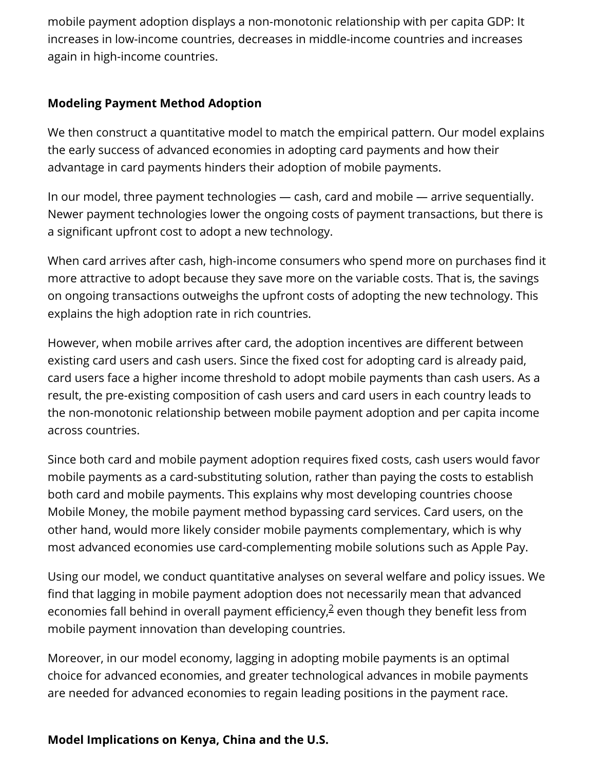mobile payment adoption displays a non-monotonic relationship with per capita GDP: It increases in low-income countries, decreases in middle-income countries and increases again in high-income countries.

#### **Modeling Payment Method Adoption**

We then construct a quantitative model to match the empirical pattern. Our model explains the early success of advanced economies in adopting card payments and how their advantage in card payments hinders their adoption of mobile payments.

In our model, three payment technologies — cash, card and mobile — arrive sequentially. Newer payment technologies lower the ongoing costs of payment transactions, but there is a significant upfront cost to adopt a new technology.

When card arrives after cash, high-income consumers who spend more on purchases find it more attractive to adopt because they save more on the variable costs. That is, the savings on ongoing transactions outweighs the upfront costs of adopting the new technology. This explains the high adoption rate in rich countries.

However, when mobile arrives after card, the adoption incentives are different between existing card users and cash users. Since the fixed cost for adopting card is already paid, card users face a higher income threshold to adopt mobile payments than cash users. As a result, the pre-existing composition of cash users and card users in each country leads to the non-monotonic relationship between mobile payment adoption and per capita income across countries.

Since both card and mobile payment adoption requires fixed costs, cash users would favor mobile payments as a card-substituting solution, rather than paying the costs to establish both card and mobile payments. This explains why most developing countries choose Mobile Money, the mobile payment method bypassing card services. Card users, on the other hand, would more likely consider mobile payments complementary, which is why most advanced economies use card-complementing mobile solutions such as Apple Pay.

Using our model, we conduct quantitative analyses on several welfare and policy issues. We find that lagging in mobile payment adoption does not necessarily mean that advanced economiesfall behind in overall payment efficiency, $\frac{2}{7}$  even though they benefit less from mobile payment innovation than developing countries.

Moreover, in our model economy, lagging in adopting mobile payments is an optimal choice for advanced economies, and greater technological advances in mobile payments are needed for advanced economies to regain leading positions in the payment race.

#### **Model Implications on Kenya, China and the U.S.**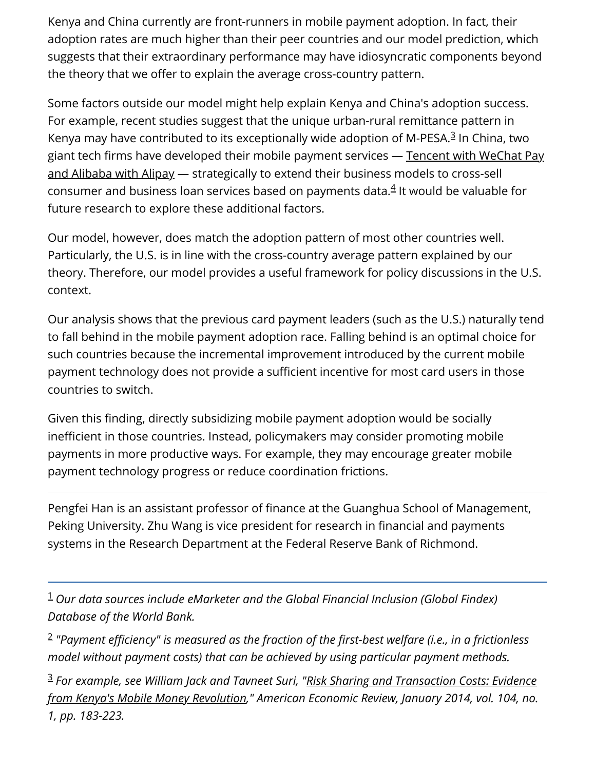Kenya and China currently are front-runners in mobile payment adoption. In fact, their adoption rates are much higher than their peer countries and our model prediction, which suggests that their extraordinary performance may have idiosyncratic components beyond the theory that we offer to explain the average cross-country pattern.

Some factors outside our model might help explain Kenya and China's adoption success. For example, recent studies suggest that the unique urban-rural remittance pattern in Kenyamay have contributed to its exceptionally wide adoption of M-PESA.<sup>3</sup> In China, two [giant tech firms have developed their mobile payment services — Tencent with WeChat Pay](https://www.richmondfed.org/publications/research/economic_brief/2021/eb_21-17) and Alibaba with Alipay — strategically to extend their business models to cross-sell consumer and business loan services based on payments data. $4$  It would be valuable for future research to explore these additional factors.

Our model, however, does match the adoption pattern of most other countries well. Particularly, the U.S. is in line with the cross-country average pattern explained by our theory. Therefore, our model provides a useful framework for policy discussions in the U.S. context.

Our analysis shows that the previous card payment leaders (such as the U.S.) naturally tend to fall behind in the mobile payment adoption race. Falling behind is an optimal choice for such countries because the incremental improvement introduced by the current mobile payment technology does not provide a sufficient incentive for most card users in those countries to switch.

Given this finding, directly subsidizing mobile payment adoption would be socially inefficient in those countries. Instead, policymakers may consider promoting mobile payments in more productive ways. For example, they may encourage greater mobile payment technology progress or reduce coordination frictions.

Pengfei Han is an assistant professor of finance at the Guanghua School of Management, Peking University. Zhu Wang is vice president for research in financial and payments systems in the Research Department at the Federal Reserve Bank of Richmond.

<span id="page-4-0"></span> $^{\rm 1}$  Our data sources include eMarketer and the Global Financial Inclusion (Global Findex) *Database of the World Bank.*

<span id="page-4-1"></span>*"Payment efficiency" is measured as the fraction of the first-best welfare (i.e., in a frictionless* 2 *model without payment costs) that can be achieved by using particular payment methods.*

<span id="page-4-2"></span>*For example, see William Jack and Tavneet Suri, "Risk Sharing and Transaction Costs: Evidence* 3*[from Kenya's Mobile Money Revolution," American Economic Review, January 2014, vol. 104, no.](https://www.aeaweb.org/articles?id=10.1257/aer.104.1.183) 1, pp. 183-223.*